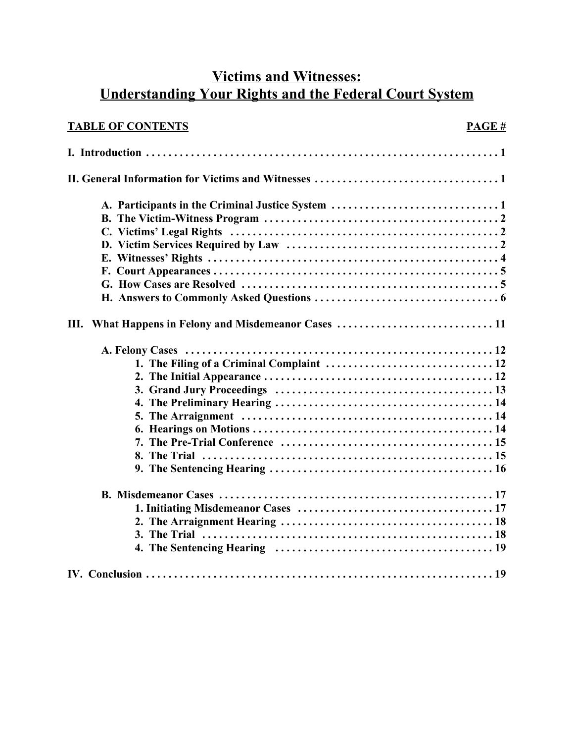# **Victims and Witnesses: Understanding Your Rights and the Federal Court System**

| <b>TABLE OF CONTENTS</b> | PAGE# |
|--------------------------|-------|
|                          |       |
|                          |       |
|                          |       |
|                          |       |
|                          |       |
|                          |       |
|                          |       |
|                          |       |
|                          |       |
|                          |       |
| Ш.                       |       |
|                          |       |
|                          |       |
|                          |       |
|                          |       |
|                          |       |
|                          |       |
|                          |       |
|                          |       |
|                          |       |
|                          |       |
|                          |       |
|                          |       |
|                          |       |
|                          |       |
|                          |       |
|                          |       |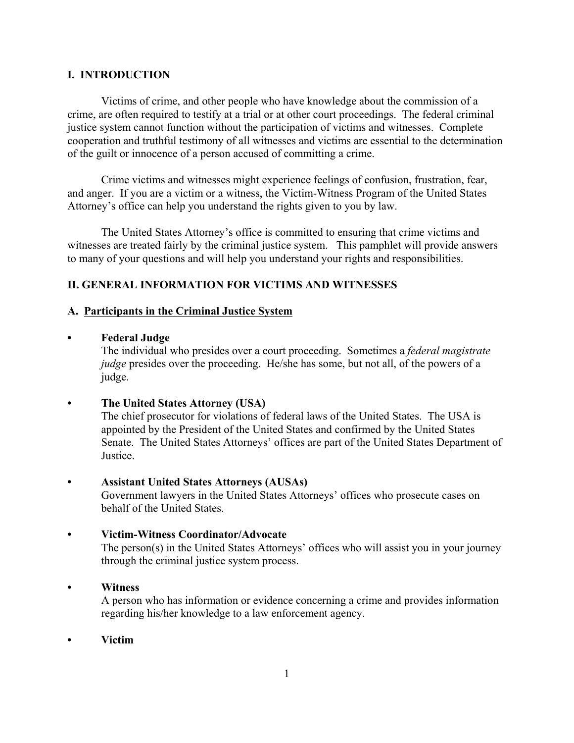# **I. INTRODUCTION**

Victims of crime, and other people who have knowledge about the commission of a crime, are often required to testify at a trial or at other court proceedings. The federal criminal justice system cannot function without the participation of victims and witnesses. Complete cooperation and truthful testimony of all witnesses and victims are essential to the determination of the guilt or innocence of a person accused of committing a crime.

Crime victims and witnesses might experience feelings of confusion, frustration, fear, and anger. If you are a victim or a witness, the Victim-Witness Program of the United States Attorney's office can help you understand the rights given to you by law.

The United States Attorney's office is committed to ensuring that crime victims and witnesses are treated fairly by the criminal justice system. This pamphlet will provide answers to many of your questions and will help you understand your rights and responsibilities.

# **II. GENERAL INFORMATION FOR VICTIMS AND WITNESSES**

# **A. Participants in the Criminal Justice System**

# **• Federal Judge**

The individual who presides over a court proceeding. Sometimes a *federal magistrate judge* presides over the proceeding. He/she has some, but not all, of the powers of a judge.

**• The United States Attorney (USA)**

The chief prosecutor for violations of federal laws of the United States. The USA is appointed by the President of the United States and confirmed by the United States Senate. The United States Attorneys' offices are part of the United States Department of **Justice** 

**• Assistant United States Attorneys (AUSAs)**

Government lawyers in the United States Attorneys' offices who prosecute cases on behalf of the United States.

# **• Victim-Witness Coordinator/Advocate**

The person(s) in the United States Attorneys' offices who will assist you in your journey through the criminal justice system process.

# **• Witness**

A person who has information or evidence concerning a crime and provides information regarding his/her knowledge to a law enforcement agency.

**• Victim**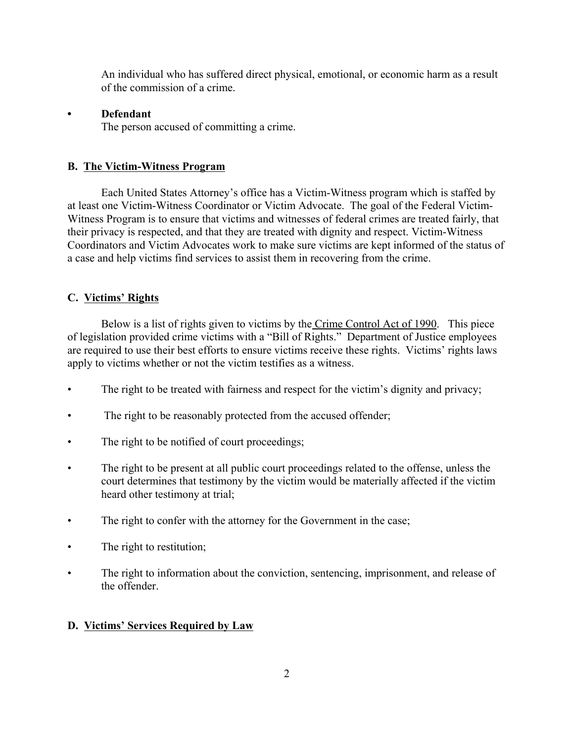An individual who has suffered direct physical, emotional, or economic harm as a result of the commission of a crime.

# **• Defendant**

The person accused of committing a crime.

# **B. The Victim-Witness Program**

Each United States Attorney's office has a Victim-Witness program which is staffed by at least one Victim-Witness Coordinator or Victim Advocate. The goal of the Federal Victim-Witness Program is to ensure that victims and witnesses of federal crimes are treated fairly, that their privacy is respected, and that they are treated with dignity and respect. Victim-Witness Coordinators and Victim Advocates work to make sure victims are kept informed of the status of a case and help victims find services to assist them in recovering from the crime.

# **C. Victims' Rights**

Below is a list of rights given to victims by the Crime Control Act of 1990. This piece of legislation provided crime victims with a "Bill of Rights." Department of Justice employees are required to use their best efforts to ensure victims receive these rights. Victims' rights laws apply to victims whether or not the victim testifies as a witness.

- The right to be treated with fairness and respect for the victim's dignity and privacy;
- The right to be reasonably protected from the accused offender;
- The right to be notified of court proceedings;
- The right to be present at all public court proceedings related to the offense, unless the court determines that testimony by the victim would be materially affected if the victim heard other testimony at trial;
- The right to confer with the attorney for the Government in the case;
- The right to restitution;
- The right to information about the conviction, sentencing, imprisonment, and release of the offender.

# **D. Victims' Services Required by Law**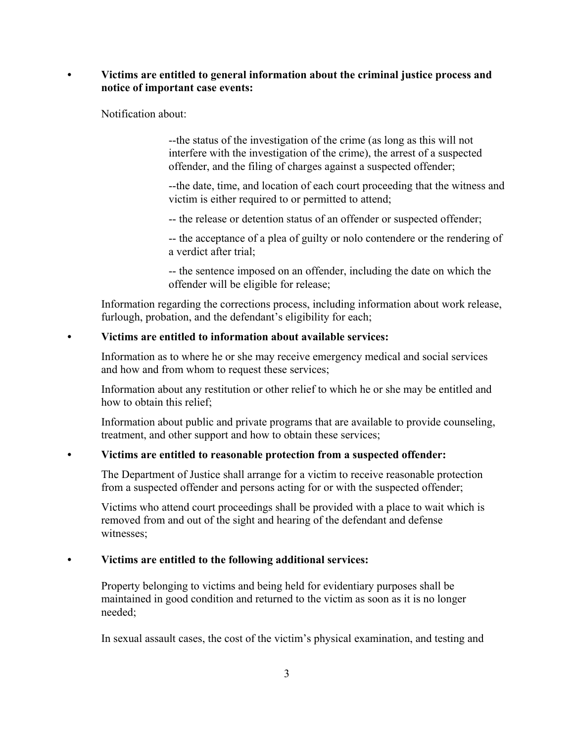# **• Victims are entitled to general information about the criminal justice process and notice of important case events:**

Notification about:

--the status of the investigation of the crime (as long as this will not interfere with the investigation of the crime), the arrest of a suspected offender, and the filing of charges against a suspected offender;

--the date, time, and location of each court proceeding that the witness and victim is either required to or permitted to attend;

-- the release or detention status of an offender or suspected offender;

-- the acceptance of a plea of guilty or nolo contendere or the rendering of a verdict after trial;

-- the sentence imposed on an offender, including the date on which the offender will be eligible for release;

Information regarding the corrections process, including information about work release, furlough, probation, and the defendant's eligibility for each;

# **• Victims are entitled to information about available services:**

Information as to where he or she may receive emergency medical and social services and how and from whom to request these services;

Information about any restitution or other relief to which he or she may be entitled and how to obtain this relief;

Information about public and private programs that are available to provide counseling, treatment, and other support and how to obtain these services;

# **• Victims are entitled to reasonable protection from a suspected offender:**

The Department of Justice shall arrange for a victim to receive reasonable protection from a suspected offender and persons acting for or with the suspected offender;

Victims who attend court proceedings shall be provided with a place to wait which is removed from and out of the sight and hearing of the defendant and defense witnesses;

# **• Victims are entitled to the following additional services:**

 Property belonging to victims and being held for evidentiary purposes shall be maintained in good condition and returned to the victim as soon as it is no longer needed;

In sexual assault cases, the cost of the victim's physical examination, and testing and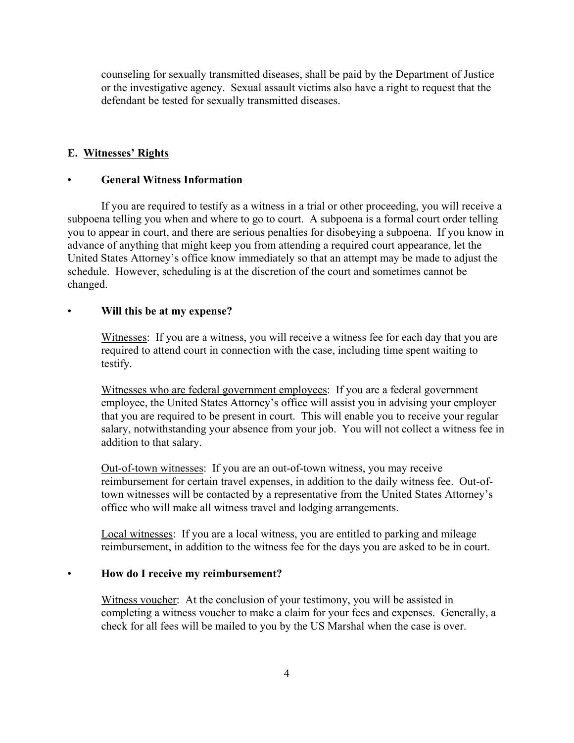counseling for sexually transmitted diseases, shall be paid by the Department of Justice or the investigative agency. Sexual assault victims also have a right to request that the defendant be tested for sexually transmitted diseases.

#### **E. Witnesses' Rights**

#### • **General Witness Information**

If you are required to testify as a witness in a trial or other proceeding, you will receive a subpoena telling you when and where to go to court. A subpoena is a formal court order telling you to appear in court, and there are serious penalties for disobeying a subpoena. If you know in advance of anything that might keep you from attending a required court appearance, let the United States Attorney's office know immediately so that an attempt may be made to adjust the schedule. However, scheduling is at the discretion of the court and sometimes cannot be changed.

#### • **Will this be at my expense?**

Witnesses: If you are a witness, you will receive a witness fee for each day that you are required to attend court in connection with the case, including time spent waiting to testify.

Witnesses who are federal government employees: If you are a federal government employee, the United States Attorney's office will assist you in advising your employer that you are required to be present in court. This will enable you to receive your regular salary, notwithstanding your absence from your job. You will not collect a witness fee in addition to that salary.

Out-of-town witnesses: If you are an out-of-town witness, you may receive reimbursement for certain travel expenses, in addition to the daily witness fee. Out-oftown witnesses will be contacted by a representative from the United States Attorney's office who will make all witness travel and lodging arrangements.

Local witnesses: If you are a local witness, you are entitled to parking and mileage reimbursement, in addition to the witness fee for the days you are asked to be in court.

#### • **How do I receive my reimbursement?**

Witness voucher: At the conclusion of your testimony, you will be assisted in completing a witness voucher to make a claim for your fees and expenses. Generally, a check for all fees will be mailed to you by the US Marshal when the case is over.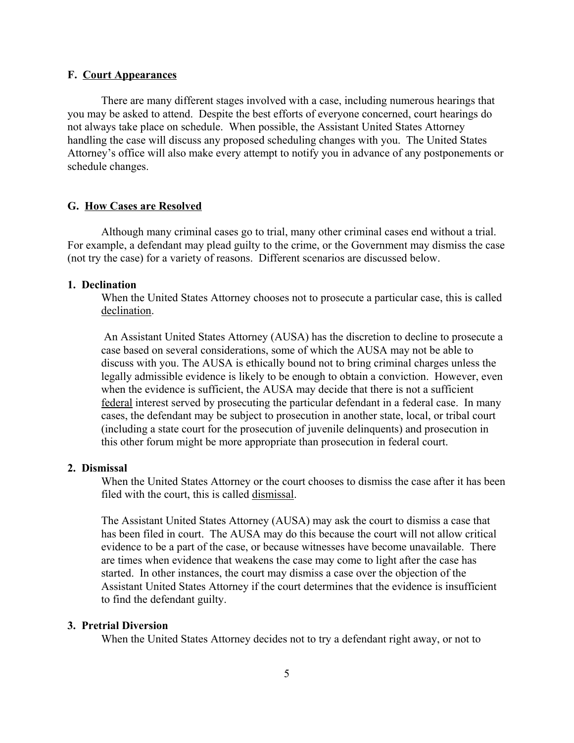#### **F. Court Appearances**

There are many different stages involved with a case, including numerous hearings that you may be asked to attend. Despite the best efforts of everyone concerned, court hearings do not always take place on schedule. When possible, the Assistant United States Attorney handling the case will discuss any proposed scheduling changes with you. The United States Attorney's office will also make every attempt to notify you in advance of any postponements or schedule changes.

#### **G. How Cases are Resolved**

Although many criminal cases go to trial, many other criminal cases end without a trial. For example, a defendant may plead guilty to the crime, or the Government may dismiss the case (not try the case) for a variety of reasons. Different scenarios are discussed below.

#### **1. Declination**

When the United States Attorney chooses not to prosecute a particular case, this is called declination.

 An Assistant United States Attorney (AUSA) has the discretion to decline to prosecute a case based on several considerations, some of which the AUSA may not be able to discuss with you. The AUSA is ethically bound not to bring criminal charges unless the legally admissible evidence is likely to be enough to obtain a conviction. However, even when the evidence is sufficient, the AUSA may decide that there is not a sufficient federal interest served by prosecuting the particular defendant in a federal case. In many cases, the defendant may be subject to prosecution in another state, local, or tribal court (including a state court for the prosecution of juvenile delinquents) and prosecution in this other forum might be more appropriate than prosecution in federal court.

#### **2. Dismissal**

When the United States Attorney or the court chooses to dismiss the case after it has been filed with the court, this is called dismissal.

The Assistant United States Attorney (AUSA) may ask the court to dismiss a case that has been filed in court. The AUSA may do this because the court will not allow critical evidence to be a part of the case, or because witnesses have become unavailable. There are times when evidence that weakens the case may come to light after the case has started. In other instances, the court may dismiss a case over the objection of the Assistant United States Attorney if the court determines that the evidence is insufficient to find the defendant guilty.

#### **3. Pretrial Diversion**

When the United States Attorney decides not to try a defendant right away, or not to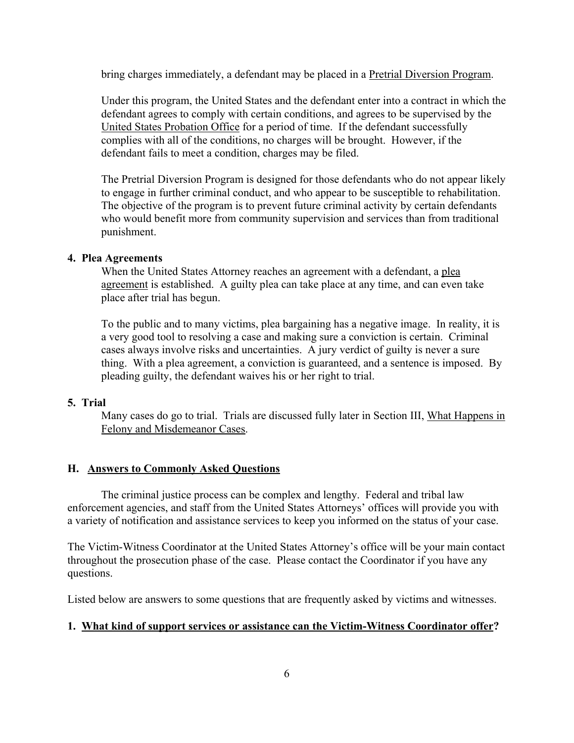bring charges immediately, a defendant may be placed in a Pretrial Diversion Program.

Under this program, the United States and the defendant enter into a contract in which the defendant agrees to comply with certain conditions, and agrees to be supervised by the United States Probation Office for a period of time. If the defendant successfully complies with all of the conditions, no charges will be brought. However, if the defendant fails to meet a condition, charges may be filed.

The Pretrial Diversion Program is designed for those defendants who do not appear likely to engage in further criminal conduct, and who appear to be susceptible to rehabilitation. The objective of the program is to prevent future criminal activity by certain defendants who would benefit more from community supervision and services than from traditional punishment.

#### **4. Plea Agreements**

When the United States Attorney reaches an agreement with a defendant, a plea agreement is established. A guilty plea can take place at any time, and can even take place after trial has begun.

To the public and to many victims, plea bargaining has a negative image. In reality, it is a very good tool to resolving a case and making sure a conviction is certain. Criminal cases always involve risks and uncertainties. A jury verdict of guilty is never a sure thing. With a plea agreement, a conviction is guaranteed, and a sentence is imposed. By pleading guilty, the defendant waives his or her right to trial.

# **5. Trial**

Many cases do go to trial. Trials are discussed fully later in Section III, What Happens in Felony and Misdemeanor Cases.

#### **H. Answers to Commonly Asked Questions**

The criminal justice process can be complex and lengthy. Federal and tribal law enforcement agencies, and staff from the United States Attorneys' offices will provide you with a variety of notification and assistance services to keep you informed on the status of your case.

The Victim-Witness Coordinator at the United States Attorney's office will be your main contact throughout the prosecution phase of the case. Please contact the Coordinator if you have any questions.

Listed below are answers to some questions that are frequently asked by victims and witnesses.

#### **1. What kind of support services or assistance can the Victim-Witness Coordinator offer?**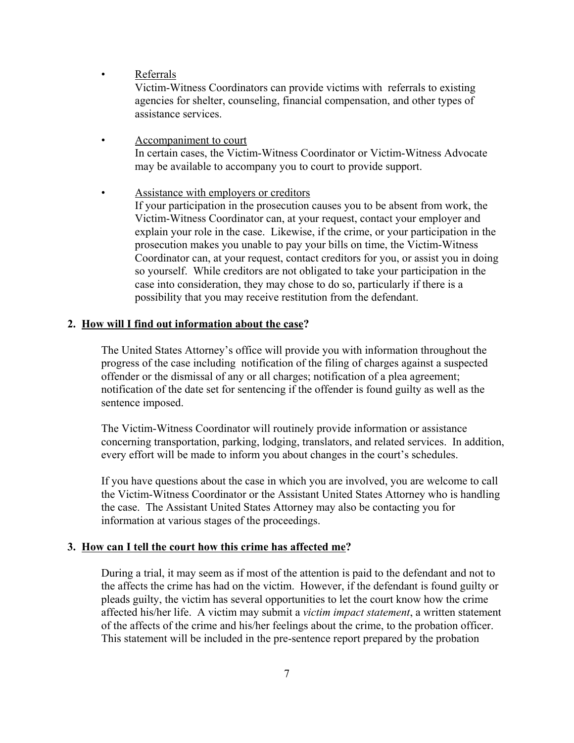• Referrals

Victim-Witness Coordinators can provide victims with referrals to existing agencies for shelter, counseling, financial compensation, and other types of assistance services.

- Accompaniment to court In certain cases, the Victim-Witness Coordinator or Victim-Witness Advocate may be available to accompany you to court to provide support.
- Assistance with employers or creditors If your participation in the prosecution causes you to be absent from work, the Victim-Witness Coordinator can, at your request, contact your employer and explain your role in the case. Likewise, if the crime, or your participation in the prosecution makes you unable to pay your bills on time, the Victim-Witness Coordinator can, at your request, contact creditors for you, or assist you in doing so yourself. While creditors are not obligated to take your participation in the case into consideration, they may chose to do so, particularly if there is a possibility that you may receive restitution from the defendant.

# **2. How will I find out information about the case?**

The United States Attorney's office will provide you with information throughout the progress of the case including notification of the filing of charges against a suspected offender or the dismissal of any or all charges; notification of a plea agreement; notification of the date set for sentencing if the offender is found guilty as well as the sentence imposed.

The Victim-Witness Coordinator will routinely provide information or assistance concerning transportation, parking, lodging, translators, and related services. In addition, every effort will be made to inform you about changes in the court's schedules.

If you have questions about the case in which you are involved, you are welcome to call the Victim-Witness Coordinator or the Assistant United States Attorney who is handling the case. The Assistant United States Attorney may also be contacting you for information at various stages of the proceedings.

# **3. How can I tell the court how this crime has affected me?**

During a trial, it may seem as if most of the attention is paid to the defendant and not to the affects the crime has had on the victim. However, if the defendant is found guilty or pleads guilty, the victim has several opportunities to let the court know how the crime affected his/her life. A victim may submit a *victim impact statement*, a written statement of the affects of the crime and his/her feelings about the crime, to the probation officer. This statement will be included in the pre-sentence report prepared by the probation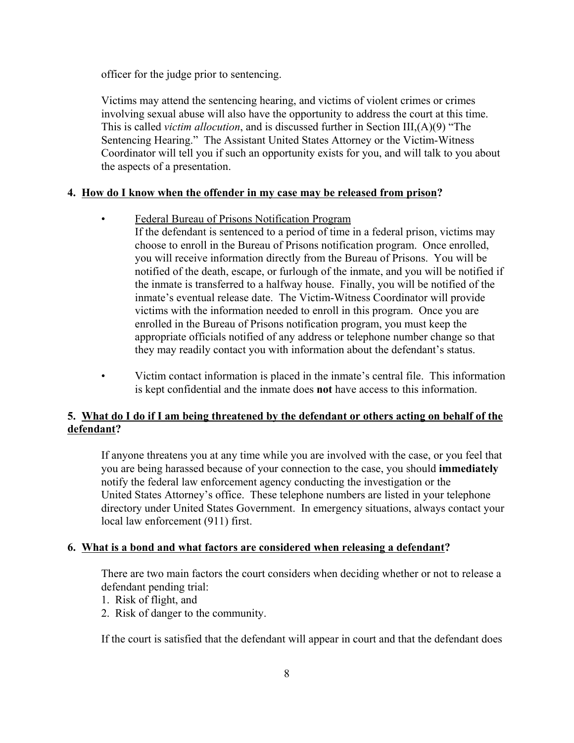officer for the judge prior to sentencing.

Victims may attend the sentencing hearing, and victims of violent crimes or crimes involving sexual abuse will also have the opportunity to address the court at this time. This is called *victim allocution*, and is discussed further in Section III,(A)(9) "The Sentencing Hearing." The Assistant United States Attorney or the Victim-Witness Coordinator will tell you if such an opportunity exists for you, and will talk to you about the aspects of a presentation.

# **4. How do I know when the offender in my case may be released from prison?**

• Federal Bureau of Prisons Notification Program

If the defendant is sentenced to a period of time in a federal prison, victims may choose to enroll in the Bureau of Prisons notification program. Once enrolled, you will receive information directly from the Bureau of Prisons. You will be notified of the death, escape, or furlough of the inmate, and you will be notified if the inmate is transferred to a halfway house. Finally, you will be notified of the inmate's eventual release date. The Victim-Witness Coordinator will provide victims with the information needed to enroll in this program. Once you are enrolled in the Bureau of Prisons notification program, you must keep the appropriate officials notified of any address or telephone number change so that they may readily contact you with information about the defendant's status.

• Victim contact information is placed in the inmate's central file. This information is kept confidential and the inmate does **not** have access to this information.

# **5. What do I do if I am being threatened by the defendant or others acting on behalf of the defendant?**

If anyone threatens you at any time while you are involved with the case, or you feel that you are being harassed because of your connection to the case, you should **immediately** notify the federal law enforcement agency conducting the investigation or the United States Attorney's office. These telephone numbers are listed in your telephone directory under United States Government. In emergency situations, always contact your local law enforcement (911) first.

# **6. What is a bond and what factors are considered when releasing a defendant?**

There are two main factors the court considers when deciding whether or not to release a defendant pending trial:

- 1. Risk of flight, and
- 2. Risk of danger to the community.

If the court is satisfied that the defendant will appear in court and that the defendant does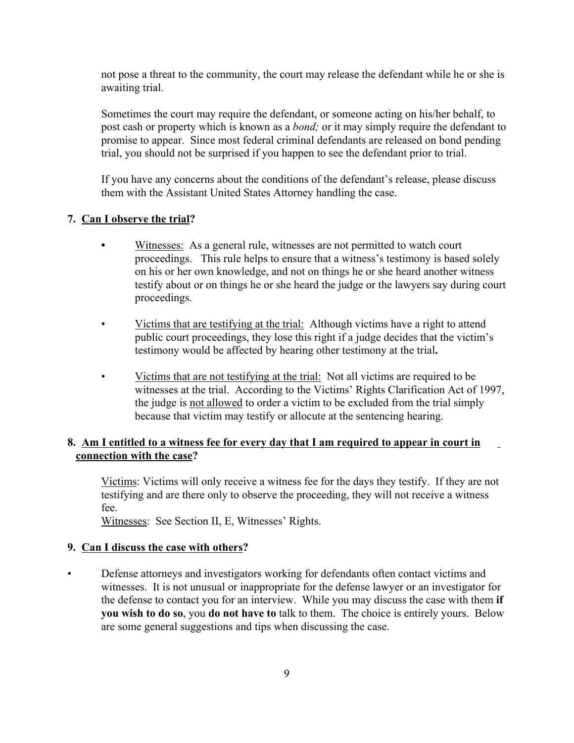not pose a threat to the community, the court may release the defendant while he or she is awaiting trial.

Sometimes the court may require the defendant, or someone acting on his/her behalf, to post cash or property which is known as a *bond;* or it may simply require the defendant to promise to appear. Since most federal criminal defendants are released on bond pending trial, you should not be surprised if you happen to see the defendant prior to trial.

If you have any concerns about the conditions of the defendant's release, please discuss them with the Assistant United States Attorney handling the case.

# **7. Can I observe the trial?**

- **•** Witnesses:As a general rule, witnesses are not permitted to watch court proceedings. This rule helps to ensure that a witness's testimony is based solely on his or her own knowledge, and not on things he or she heard another witness testify about or on things he or she heard the judge or the lawyers say during court proceedings.
- Victims that are testifying at the trial: Although victims have a right to attend public court proceedings, they lose this right if a judge decides that the victim's testimony would be affected by hearing other testimony at the trial**.**
- Victims that are not testifying at the trial: Not all victims are required to be witnesses at the trial. According to the Victims' Rights Clarification Act of 1997, the judge is not allowed to order a victim to be excluded from the trial simply because that victim may testify or allocute at the sentencing hearing.

# **8. Am I entitled to a witness fee for every day that I am required to appear in court in connection with the case?**

Victims: Victims will only receive a witness fee for the days they testify. If they are not testifying and are there only to observe the proceeding, they will not receive a witness fee.

Witnesses: See Section II, E, Witnesses' Rights.

# **9. Can I discuss the case with others?**

• Defense attorneys and investigators working for defendants often contact victims and witnesses. It is not unusual or inappropriate for the defense lawyer or an investigator for the defense to contact you for an interview. While you may discuss the case with them **if you wish to do so**, you **do not have to** talk to them. The choice is entirely yours. Below are some general suggestions and tips when discussing the case.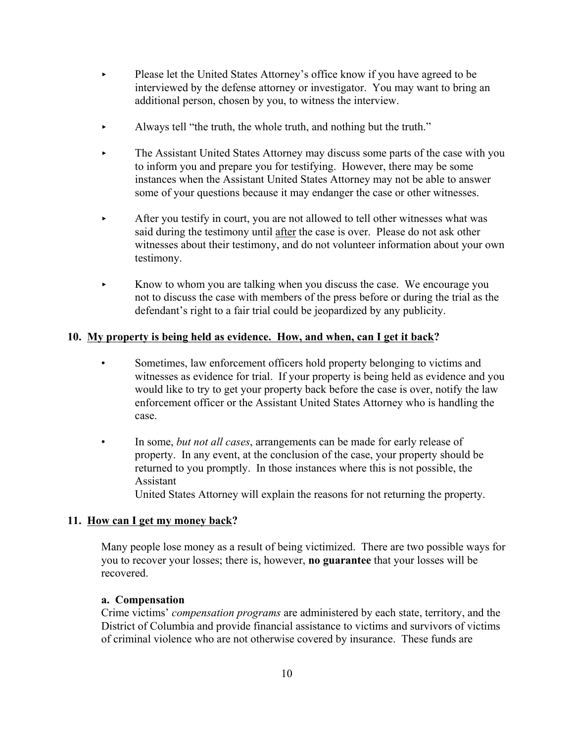- < Please let the United States Attorney's office know if you have agreed to be interviewed by the defense attorney or investigator. You may want to bring an additional person, chosen by you, to witness the interview.
- Always tell "the truth, the whole truth, and nothing but the truth."
- **Example 2** The Assistant United States Attorney may discuss some parts of the case with you to inform you and prepare you for testifying. However, there may be some instances when the Assistant United States Attorney may not be able to answer some of your questions because it may endanger the case or other witnesses.
- After you testify in court, you are not allowed to tell other witnesses what was said during the testimony until after the case is over. Please do not ask other witnesses about their testimony, and do not volunteer information about your own testimony.
- $\blacktriangleright$  Know to whom you are talking when you discuss the case. We encourage you not to discuss the case with members of the press before or during the trial as the defendant's right to a fair trial could be jeopardized by any publicity.

# **10. My property is being held as evidence. How, and when, can I get it back?**

- Sometimes, law enforcement officers hold property belonging to victims and witnesses as evidence for trial. If your property is being held as evidence and you would like to try to get your property back before the case is over, notify the law enforcement officer or the Assistant United States Attorney who is handling the case.
- In some, *but not all cases*, arrangements can be made for early release of property. In any event, at the conclusion of the case, your property should be returned to you promptly. In those instances where this is not possible, the Assistant

United States Attorney will explain the reasons for not returning the property.

# **11. How can I get my money back?**

Many people lose money as a result of being victimized. There are two possible ways for you to recover your losses; there is, however, **no guarantee** that your losses will be recovered.

#### **a. Compensation**

Crime victims' *compensation programs* are administered by each state, territory, and the District of Columbia and provide financial assistance to victims and survivors of victims of criminal violence who are not otherwise covered by insurance. These funds are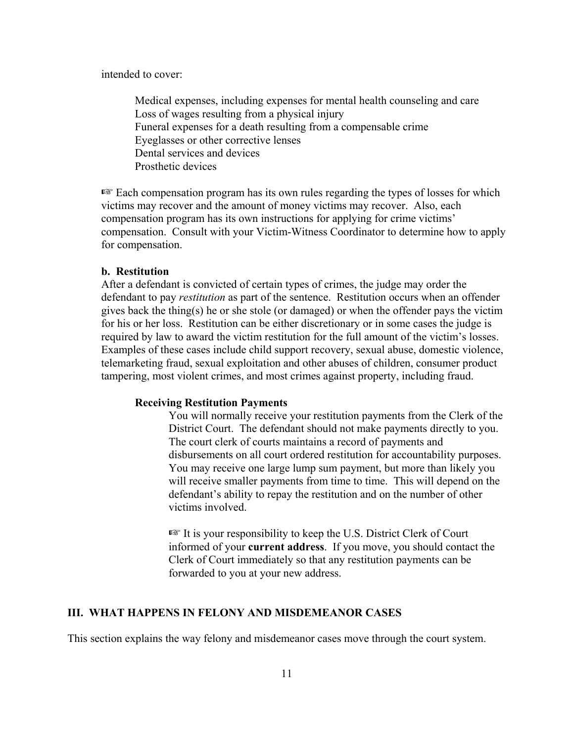intended to cover:

Medical expenses, including expenses for mental health counseling and care Loss of wages resulting from a physical injury Funeral expenses for a death resulting from a compensable crime Eyeglasses or other corrective lenses Dental services and devices Prosthetic devices

 $E$  Each compensation program has its own rules regarding the types of losses for which victims may recover and the amount of money victims may recover. Also, each compensation program has its own instructions for applying for crime victims' compensation. Consult with your Victim-Witness Coordinator to determine how to apply for compensation.

#### **b. Restitution**

After a defendant is convicted of certain types of crimes, the judge may order the defendant to pay *restitution* as part of the sentence. Restitution occurs when an offender gives back the thing(s) he or she stole (or damaged) or when the offender pays the victim for his or her loss. Restitution can be either discretionary or in some cases the judge is required by law to award the victim restitution for the full amount of the victim's losses. Examples of these cases include child support recovery, sexual abuse, domestic violence, telemarketing fraud, sexual exploitation and other abuses of children, consumer product tampering, most violent crimes, and most crimes against property, including fraud.

#### **Receiving Restitution Payments**

You will normally receive your restitution payments from the Clerk of the District Court. The defendant should not make payments directly to you. The court clerk of courts maintains a record of payments and disbursements on all court ordered restitution for accountability purposes. You may receive one large lump sum payment, but more than likely you will receive smaller payments from time to time. This will depend on the defendant's ability to repay the restitution and on the number of other victims involved.

 $E$  It is your responsibility to keep the U.S. District Clerk of Court informed of your **current address**. If you move, you should contact the Clerk of Court immediately so that any restitution payments can be forwarded to you at your new address.

#### **III. WHAT HAPPENS IN FELONY AND MISDEMEANOR CASES**

This section explains the way felony and misdemeanor cases move through the court system.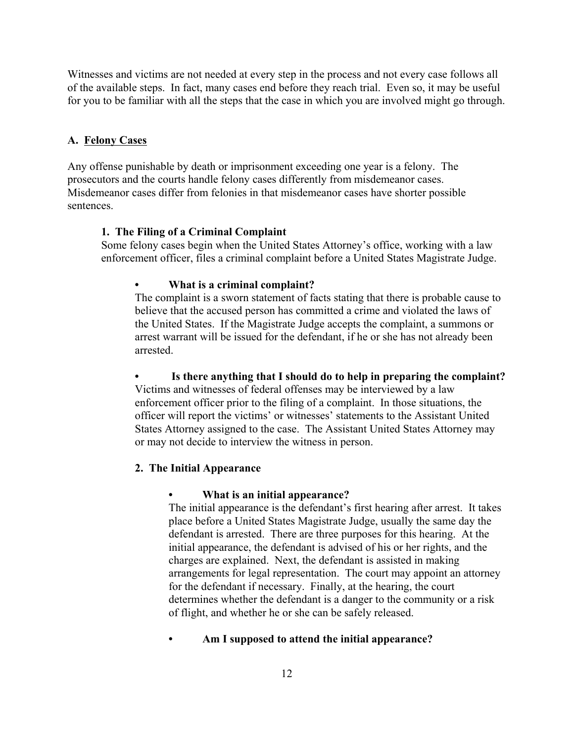Witnesses and victims are not needed at every step in the process and not every case follows all of the available steps. In fact, many cases end before they reach trial. Even so, it may be useful for you to be familiar with all the steps that the case in which you are involved might go through.

### **A. Felony Cases**

Any offense punishable by death or imprisonment exceeding one year is a felony. The prosecutors and the courts handle felony cases differently from misdemeanor cases. Misdemeanor cases differ from felonies in that misdemeanor cases have shorter possible sentences.

### **1. The Filing of a Criminal Complaint**

Some felony cases begin when the United States Attorney's office, working with a law enforcement officer, files a criminal complaint before a United States Magistrate Judge.

#### **• What is a criminal complaint?**

The complaint is a sworn statement of facts stating that there is probable cause to believe that the accused person has committed a crime and violated the laws of the United States. If the Magistrate Judge accepts the complaint, a summons or arrest warrant will be issued for the defendant, if he or she has not already been arrested.

**• Is there anything that I should do to help in preparing the complaint?** Victims and witnesses of federal offenses may be interviewed by a law enforcement officer prior to the filing of a complaint. In those situations, the

officer will report the victims' or witnesses' statements to the Assistant United States Attorney assigned to the case. The Assistant United States Attorney may or may not decide to interview the witness in person.

#### **2. The Initial Appearance**

#### **• What is an initial appearance?**

The initial appearance is the defendant's first hearing after arrest. It takes place before a United States Magistrate Judge, usually the same day the defendant is arrested. There are three purposes for this hearing. At the initial appearance, the defendant is advised of his or her rights, and the charges are explained. Next, the defendant is assisted in making arrangements for legal representation. The court may appoint an attorney for the defendant if necessary. Finally, at the hearing, the court determines whether the defendant is a danger to the community or a risk of flight, and whether he or she can be safely released.

### **• Am I supposed to attend the initial appearance?**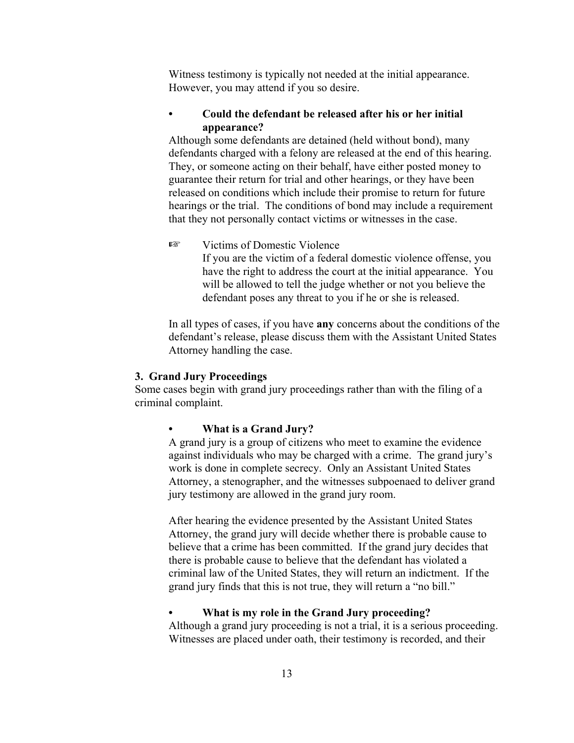Witness testimony is typically not needed at the initial appearance. However, you may attend if you so desire.

# **• Could the defendant be released after his or her initial appearance?**

Although some defendants are detained (held without bond), many defendants charged with a felony are released at the end of this hearing. They, or someone acting on their behalf, have either posted money to guarantee their return for trial and other hearings, or they have been released on conditions which include their promise to return for future hearings or the trial. The conditions of bond may include a requirement that they not personally contact victims or witnesses in the case.

**Example 3** Victims of Domestic Violence If you are the victim of a federal domestic violence offense, you

have the right to address the court at the initial appearance. You will be allowed to tell the judge whether or not you believe the defendant poses any threat to you if he or she is released.

In all types of cases, if you have **any** concerns about the conditions of the defendant's release, please discuss them with the Assistant United States Attorney handling the case.

### **3. Grand Jury Proceedings**

Some cases begin with grand jury proceedings rather than with the filing of a criminal complaint.

#### **• What is a Grand Jury?**

A grand jury is a group of citizens who meet to examine the evidence against individuals who may be charged with a crime. The grand jury's work is done in complete secrecy. Only an Assistant United States Attorney, a stenographer, and the witnesses subpoenaed to deliver grand jury testimony are allowed in the grand jury room.

After hearing the evidence presented by the Assistant United States Attorney, the grand jury will decide whether there is probable cause to believe that a crime has been committed. If the grand jury decides that there is probable cause to believe that the defendant has violated a criminal law of the United States, they will return an indictment. If the grand jury finds that this is not true, they will return a "no bill."

**• What is my role in the Grand Jury proceeding?**

Although a grand jury proceeding is not a trial, it is a serious proceeding. Witnesses are placed under oath, their testimony is recorded, and their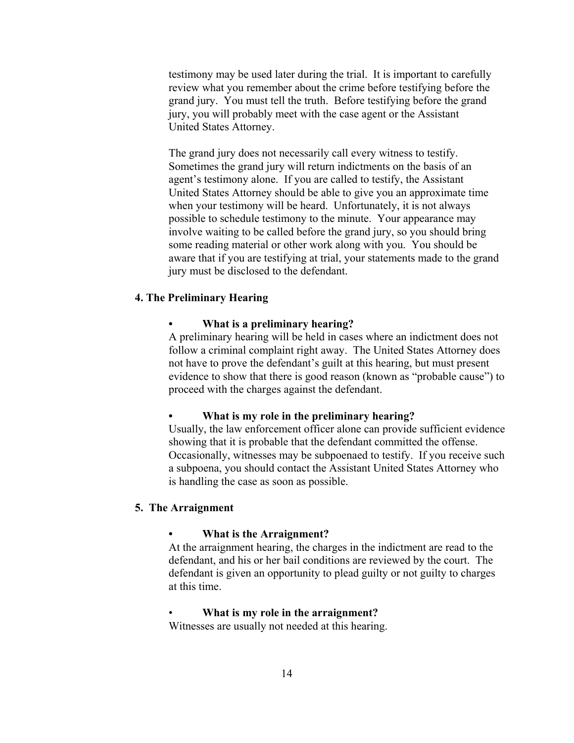testimony may be used later during the trial. It is important to carefully review what you remember about the crime before testifying before the grand jury. You must tell the truth. Before testifying before the grand jury, you will probably meet with the case agent or the Assistant United States Attorney.

The grand jury does not necessarily call every witness to testify. Sometimes the grand jury will return indictments on the basis of an agent's testimony alone. If you are called to testify, the Assistant United States Attorney should be able to give you an approximate time when your testimony will be heard. Unfortunately, it is not always possible to schedule testimony to the minute. Your appearance may involve waiting to be called before the grand jury, so you should bring some reading material or other work along with you. You should be aware that if you are testifying at trial, your statements made to the grand jury must be disclosed to the defendant.

# **4. The Preliminary Hearing**

#### **• What is a preliminary hearing?**

A preliminary hearing will be held in cases where an indictment does not follow a criminal complaint right away. The United States Attorney does not have to prove the defendant's guilt at this hearing, but must present evidence to show that there is good reason (known as "probable cause") to proceed with the charges against the defendant.

#### **• What is my role in the preliminary hearing?**

Usually, the law enforcement officer alone can provide sufficient evidence showing that it is probable that the defendant committed the offense. Occasionally, witnesses may be subpoenaed to testify. If you receive such a subpoena, you should contact the Assistant United States Attorney who is handling the case as soon as possible.

#### **5. The Arraignment**

#### **• What is the Arraignment?**

At the arraignment hearing, the charges in the indictment are read to the defendant, and his or her bail conditions are reviewed by the court. The defendant is given an opportunity to plead guilty or not guilty to charges at this time.

#### • **What is my role in the arraignment?**

Witnesses are usually not needed at this hearing.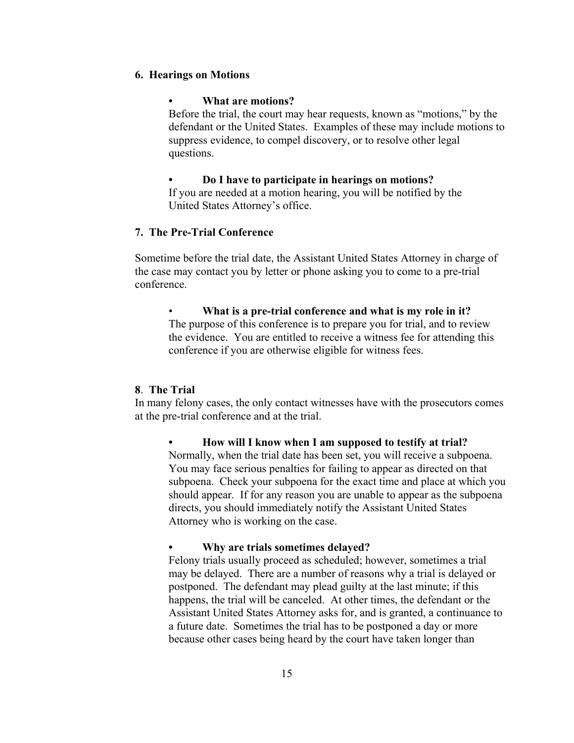### **6. Hearings on Motions**

#### **• What are motions?**

Before the trial, the court may hear requests, known as "motions," by the defendant or the United States. Examples of these may include motions to suppress evidence, to compel discovery, or to resolve other legal questions.

**• Do I have to participate in hearings on motions?**

If you are needed at a motion hearing, you will be notified by the United States Attorney's office.

# **7. The Pre-Trial Conference**

Sometime before the trial date, the Assistant United States Attorney in charge of the case may contact you by letter or phone asking you to come to a pre-trial conference.

• **What is a pre-trial conference and what is my role in it?** The purpose of this conference is to prepare you for trial, and to review the evidence. You are entitled to receive a witness fee for attending this conference if you are otherwise eligible for witness fees.

#### **8**. **The Trial**

In many felony cases, the only contact witnesses have with the prosecutors comes at the pre-trial conference and at the trial.

**• How will I know when I am supposed to testify at trial?** Normally, when the trial date has been set, you will receive a subpoena. You may face serious penalties for failing to appear as directed on that subpoena. Check your subpoena for the exact time and place at which you should appear. If for any reason you are unable to appear as the subpoena directs, you should immediately notify the Assistant United States Attorney who is working on the case.

**• Why are trials sometimes delayed?**

Felony trials usually proceed as scheduled; however, sometimes a trial may be delayed. There are a number of reasons why a trial is delayed or postponed. The defendant may plead guilty at the last minute; if this happens, the trial will be canceled. At other times, the defendant or the Assistant United States Attorney asks for, and is granted, a continuance to a future date. Sometimes the trial has to be postponed a day or more because other cases being heard by the court have taken longer than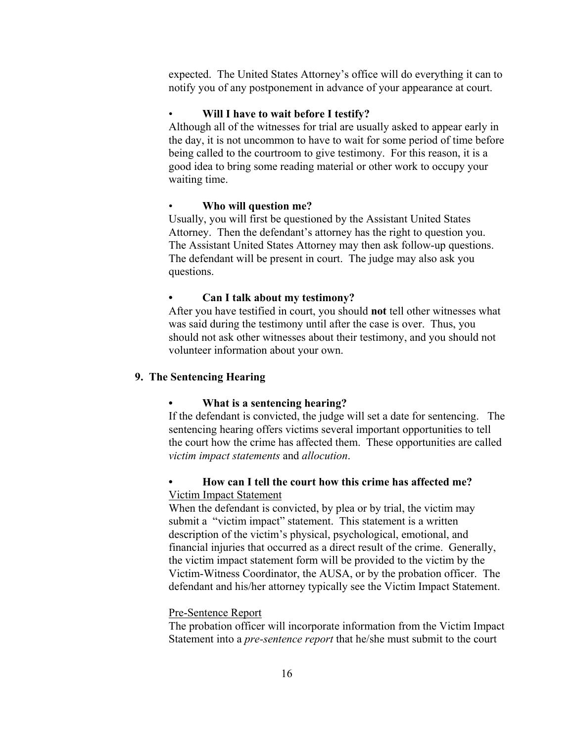expected. The United States Attorney's office will do everything it can to notify you of any postponement in advance of your appearance at court.

#### • **Will I have to wait before I testify?**

Although all of the witnesses for trial are usually asked to appear early in the day, it is not uncommon to have to wait for some period of time before being called to the courtroom to give testimony. For this reason, it is a good idea to bring some reading material or other work to occupy your waiting time.

#### • **Who will question me?**

Usually, you will first be questioned by the Assistant United States Attorney. Then the defendant's attorney has the right to question you. The Assistant United States Attorney may then ask follow-up questions. The defendant will be present in court. The judge may also ask you questions.

#### **• Can I talk about my testimony?**

After you have testified in court, you should **not** tell other witnesses what was said during the testimony until after the case is over. Thus, you should not ask other witnesses about their testimony, and you should not volunteer information about your own.

# **9. The Sentencing Hearing**

#### **• What is a sentencing hearing?**

If the defendant is convicted, the judge will set a date for sentencing. The sentencing hearing offers victims several important opportunities to tell the court how the crime has affected them. These opportunities are called *victim impact statements* and *allocution*.

# **• How can I tell the court how this crime has affected me?**  Victim Impact Statement

When the defendant is convicted, by plea or by trial, the victim may submit a "victim impact" statement. This statement is a written description of the victim's physical, psychological, emotional, and financial injuries that occurred as a direct result of the crime. Generally, the victim impact statement form will be provided to the victim by the Victim-Witness Coordinator, the AUSA, or by the probation officer. The defendant and his/her attorney typically see the Victim Impact Statement.

#### Pre-Sentence Report

The probation officer will incorporate information from the Victim Impact Statement into a *pre-sentence report* that he/she must submit to the court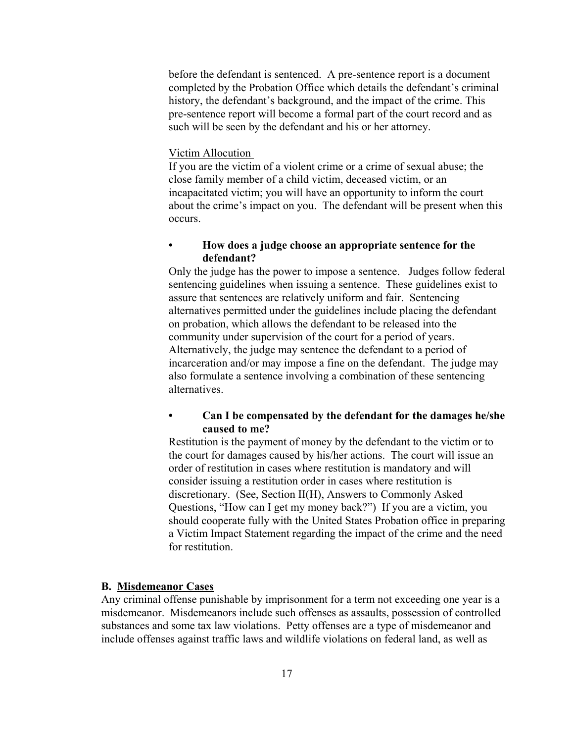before the defendant is sentenced. A pre-sentence report is a document completed by the Probation Office which details the defendant's criminal history, the defendant's background, and the impact of the crime. This pre-sentence report will become a formal part of the court record and as such will be seen by the defendant and his or her attorney.

#### Victim Allocution

If you are the victim of a violent crime or a crime of sexual abuse; the close family member of a child victim, deceased victim, or an incapacitated victim; you will have an opportunity to inform the court about the crime's impact on you. The defendant will be present when this occurs.

### **• How does a judge choose an appropriate sentence for the defendant?**

Only the judge has the power to impose a sentence. Judges follow federal sentencing guidelines when issuing a sentence. These guidelines exist to assure that sentences are relatively uniform and fair. Sentencing alternatives permitted under the guidelines include placing the defendant on probation, which allows the defendant to be released into the community under supervision of the court for a period of years. Alternatively, the judge may sentence the defendant to a period of incarceration and/or may impose a fine on the defendant. The judge may also formulate a sentence involving a combination of these sentencing alternatives.

# **• Can I be compensated by the defendant for the damages he/she caused to me?**

Restitution is the payment of money by the defendant to the victim or to the court for damages caused by his/her actions. The court will issue an order of restitution in cases where restitution is mandatory and will consider issuing a restitution order in cases where restitution is discretionary. (See, Section II(H), Answers to Commonly Asked Questions, "How can I get my money back?") If you are a victim, you should cooperate fully with the United States Probation office in preparing a Victim Impact Statement regarding the impact of the crime and the need for restitution.

#### **B. Misdemeanor Cases**

Any criminal offense punishable by imprisonment for a term not exceeding one year is a misdemeanor. Misdemeanors include such offenses as assaults, possession of controlled substances and some tax law violations. Petty offenses are a type of misdemeanor and include offenses against traffic laws and wildlife violations on federal land, as well as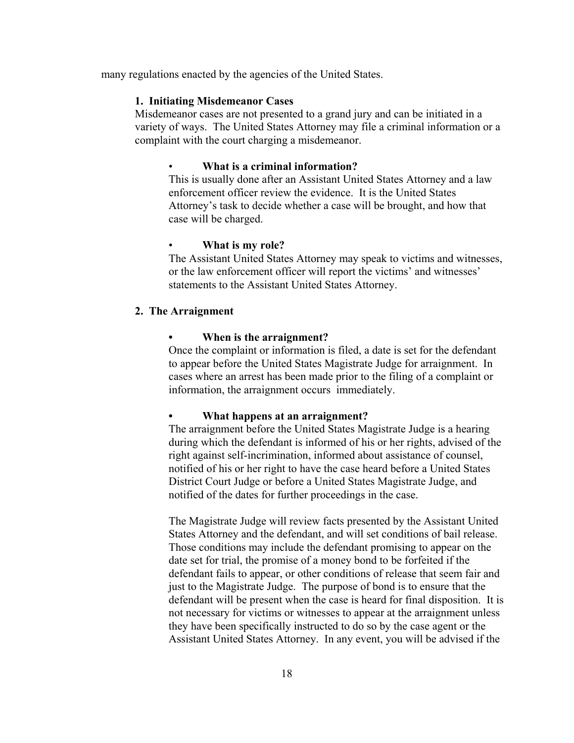many regulations enacted by the agencies of the United States.

#### **1. Initiating Misdemeanor Cases**

Misdemeanor cases are not presented to a grand jury and can be initiated in a variety of ways. The United States Attorney may file a criminal information or a complaint with the court charging a misdemeanor.

#### • **What is a criminal information?**

This is usually done after an Assistant United States Attorney and a law enforcement officer review the evidence. It is the United States Attorney's task to decide whether a case will be brought, and how that case will be charged.

#### • **What is my role?**

The Assistant United States Attorney may speak to victims and witnesses, or the law enforcement officer will report the victims' and witnesses' statements to the Assistant United States Attorney.

### **2. The Arraignment**

#### **• When is the arraignment?**

Once the complaint or information is filed, a date is set for the defendant to appear before the United States Magistrate Judge for arraignment. In cases where an arrest has been made prior to the filing of a complaint or information, the arraignment occurs immediately.

#### **• What happens at an arraignment?**

The arraignment before the United States Magistrate Judge is a hearing during which the defendant is informed of his or her rights, advised of the right against self-incrimination, informed about assistance of counsel, notified of his or her right to have the case heard before a United States District Court Judge or before a United States Magistrate Judge, and notified of the dates for further proceedings in the case.

The Magistrate Judge will review facts presented by the Assistant United States Attorney and the defendant, and will set conditions of bail release. Those conditions may include the defendant promising to appear on the date set for trial, the promise of a money bond to be forfeited if the defendant fails to appear, or other conditions of release that seem fair and just to the Magistrate Judge. The purpose of bond is to ensure that the defendant will be present when the case is heard for final disposition. It is not necessary for victims or witnesses to appear at the arraignment unless they have been specifically instructed to do so by the case agent or the Assistant United States Attorney. In any event, you will be advised if the